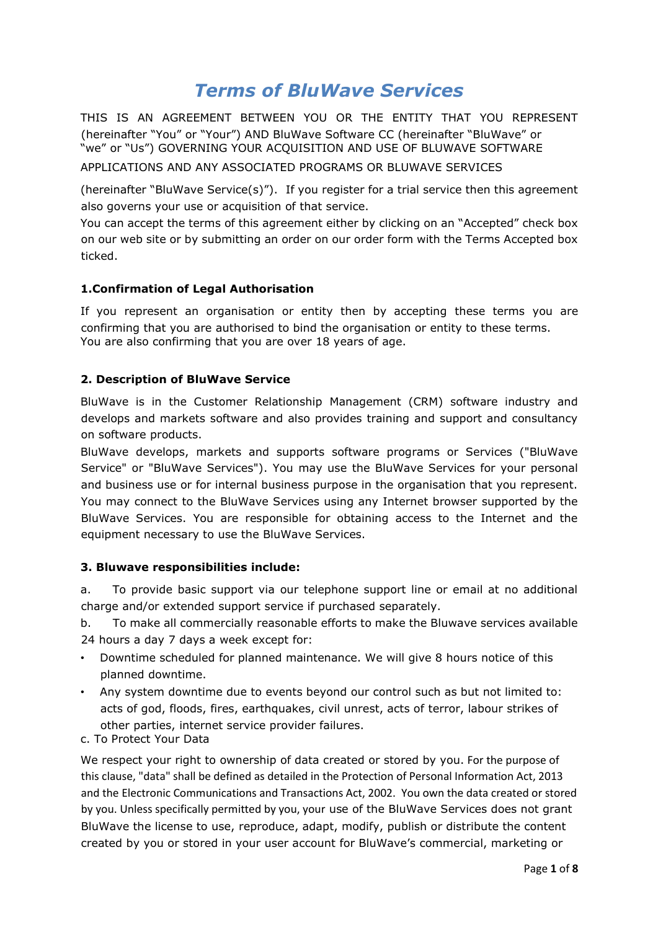# *Terms of BluWave Services*

THIS IS AN AGREEMENT BETWEEN YOU OR THE ENTITY THAT YOU REPRESENT (hereinafter "You" or "Your") AND BluWave Software CC (hereinafter "BluWave" or "we" or "Us") GOVERNING YOUR ACQUISITION AND USE OF BLUWAVE SOFTWARE

APPLICATIONS AND ANY ASSOCIATED PROGRAMS OR BLUWAVE SERVICES

(hereinafter "BluWave Service(s)"). If you register for a trial service then this agreement also governs your use or acquisition of that service.

You can accept the terms of this agreement either by clicking on an "Accepted" check box on our web site or by submitting an order on our order form with the Terms Accepted box ticked.

## **1.Confirmation of Legal Authorisation**

If you represent an organisation or entity then by accepting these terms you are confirming that you are authorised to bind the organisation or entity to these terms. You are also confirming that you are over 18 years of age.

## **2. Description of BluWave Service**

BluWave is in the Customer Relationship Management (CRM) software industry and develops and markets software and also provides training and support and consultancy on software products.

BluWave develops, markets and supports software programs or Services ("BluWave Service" or "BluWave Services"). You may use the BluWave Services for your personal and business use or for internal business purpose in the organisation that you represent. You may connect to the BluWave Services using any Internet browser supported by the BluWave Services. You are responsible for obtaining access to the Internet and the equipment necessary to use the BluWave Services.

#### **3. Bluwave responsibilities include:**

a. To provide basic support via our telephone support line or email at no additional charge and/or extended support service if purchased separately.

b. To make all commercially reasonable efforts to make the Bluwave services available 24 hours a day 7 days a week except for:

- Downtime scheduled for planned maintenance. We will give 8 hours notice of this planned downtime.
- Any system downtime due to events beyond our control such as but not limited to: acts of god, floods, fires, earthquakes, civil unrest, acts of terror, labour strikes of other parties, internet service provider failures.
- c. To Protect Your Data

We respect your right to ownership of data created or stored by you. For the purpose of this clause, "data" shall be defined as detailed in the Protection of Personal Information Act, 2013 and the Electronic Communications and Transactions Act, 2002. You own the data created or stored by you. Unless specifically permitted by you, your use of the BluWave Services does not grant BluWave the license to use, reproduce, adapt, modify, publish or distribute the content created by you or stored in your user account for BluWave's commercial, marketing or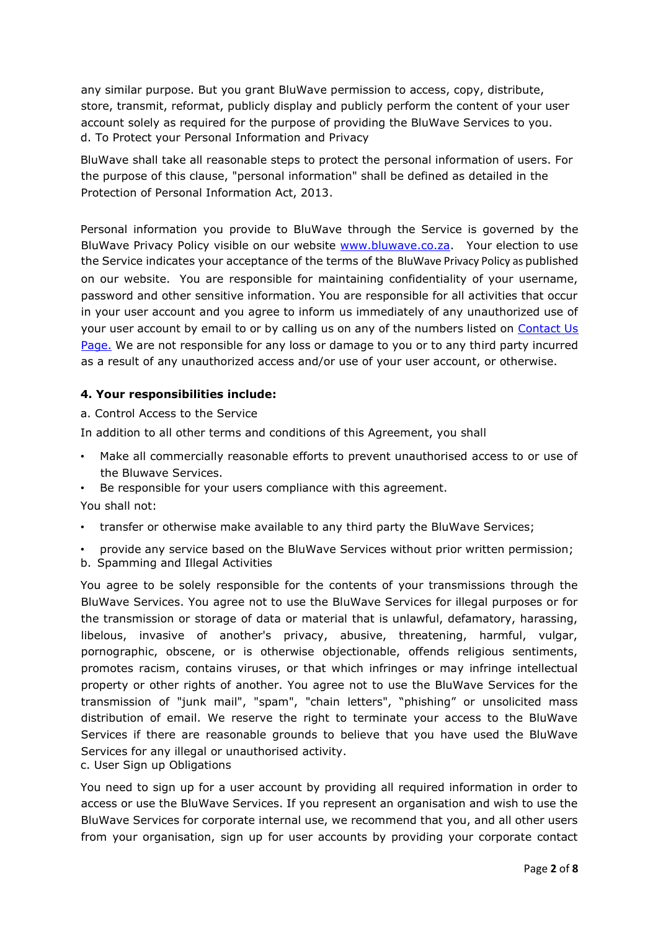any similar purpose. But you grant BluWave permission to access, copy, distribute, store, transmit, reformat, publicly display and publicly perform the content of your user account solely as required for the purpose of providing the BluWave Services to you. d. To Protect your Personal Information and Privacy

BluWave shall take all reasonable steps to protect the personal information of users. For the purpose of this clause, "personal information" shall be defined as detailed in the Protection of Personal Information Act, 2013.

Personal information you provide to BluWave through the Service is governed by the BluWave Privacy Policy visible on our website [www.bluwave.co.za.](http://www.bluwave.co.za/) Your election to use the Service indicates your acceptance of the terms of the BluWave Privacy Policy as published on our website. You are responsible for maintaining confidentiality of your username, password and other sensitive information. You are responsible for all activities that occur in your user account and you agree to inform us immediately of any unauthorized use of your user account by email to or by calling us on any of the numbers listed on Contact Us [Page.](https://www.bluwave.co.za/contact-us) We are not responsible for any loss or damage to you or to any third party incurred as a result of any unauthorized access and/or use of your user account, or otherwise.

## **4. Your responsibilities include:**

a. Control Access to the Service

In addition to all other terms and conditions of this Agreement, you shall

- Make all commercially reasonable efforts to prevent unauthorised access to or use of the Bluwave Services.
- Be responsible for your users compliance with this agreement.

You shall not:

- transfer or otherwise make available to any third party the BluWave Services;
- provide any service based on the BluWave Services without prior written permission;
- b. Spamming and Illegal Activities

You agree to be solely responsible for the contents of your transmissions through the BluWave Services. You agree not to use the BluWave Services for illegal purposes or for the transmission or storage of data or material that is unlawful, defamatory, harassing, libelous, invasive of another's privacy, abusive, threatening, harmful, vulgar, pornographic, obscene, or is otherwise objectionable, offends religious sentiments, promotes racism, contains viruses, or that which infringes or may infringe intellectual property or other rights of another. You agree not to use the BluWave Services for the transmission of "junk mail", "spam", "chain letters", "phishing" or unsolicited mass distribution of email. We reserve the right to terminate your access to the BluWave Services if there are reasonable grounds to believe that you have used the BluWave Services for any illegal or unauthorised activity.

c. User Sign up Obligations

You need to sign up for a user account by providing all required information in order to access or use the BluWave Services. If you represent an organisation and wish to use the BluWave Services for corporate internal use, we recommend that you, and all other users from your organisation, sign up for user accounts by providing your corporate contact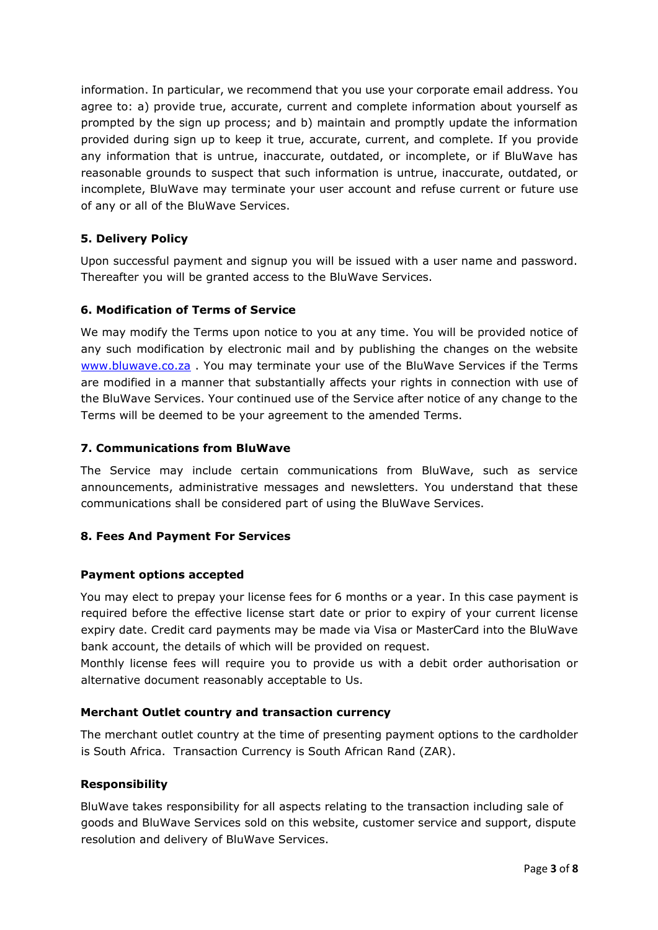information. In particular, we recommend that you use your corporate email address. You agree to: a) provide true, accurate, current and complete information about yourself as prompted by the sign up process; and b) maintain and promptly update the information provided during sign up to keep it true, accurate, current, and complete. If you provide any information that is untrue, inaccurate, outdated, or incomplete, or if BluWave has reasonable grounds to suspect that such information is untrue, inaccurate, outdated, or incomplete, BluWave may terminate your user account and refuse current or future use of any or all of the BluWave Services.

## **5. Delivery Policy**

Upon successful payment and signup you will be issued with a user name and password. Thereafter you will be granted access to the BluWave Services.

#### **6. Modification of Terms of Service**

We may modify the Terms upon notice to you at any time. You will be provided notice of any such modification by electronic mail and by publishing the changes on the website [www.bluwave.co.za](https://www.bluwave.co.za/default) . You may terminate your use of the BluWave Services if the Terms are modified in a manner that substantially affects your rights in connection with use of the BluWave Services. Your continued use of the Service after notice of any change to the Terms will be deemed to be your agreement to the amended Terms.

## **7. Communications from BluWave**

The Service may include certain communications from BluWave, such as service announcements, administrative messages and newsletters. You understand that these communications shall be considered part of using the BluWave Services.

#### **8. Fees And Payment For Services**

#### **Payment options accepted**

You may elect to prepay your license fees for 6 months or a year. In this case payment is required before the effective license start date or prior to expiry of your current license expiry date. Credit card payments may be made via Visa or MasterCard into the BluWave bank account, the details of which will be provided on request.

Monthly license fees will require you to provide us with a debit order authorisation or alternative document reasonably acceptable to Us.

#### **Merchant Outlet country and transaction currency**

The merchant outlet country at the time of presenting payment options to the cardholder is South Africa. Transaction Currency is South African Rand (ZAR).

#### **Responsibility**

BluWave takes responsibility for all aspects relating to the transaction including sale of goods and BluWave Services sold on this website, customer service and support, dispute resolution and delivery of BluWave Services.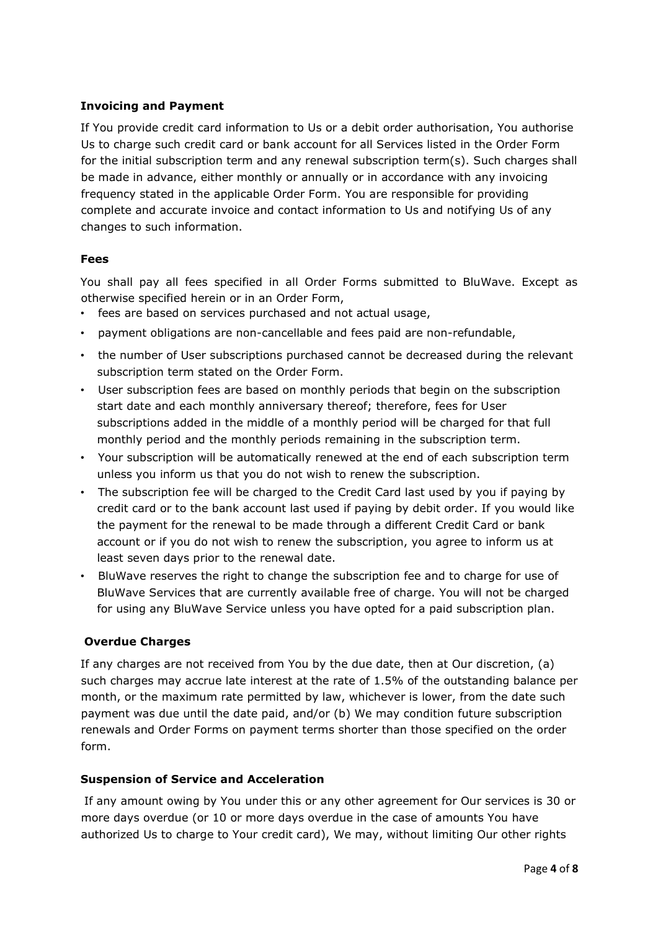#### **Invoicing and Payment**

If You provide credit card information to Us or a debit order authorisation, You authorise Us to charge such credit card or bank account for all Services listed in the Order Form for the initial subscription term and any renewal subscription term(s). Such charges shall be made in advance, either monthly or annually or in accordance with any invoicing frequency stated in the applicable Order Form. You are responsible for providing complete and accurate invoice and contact information to Us and notifying Us of any changes to such information.

## **Fees**

You shall pay all fees specified in all Order Forms submitted to BluWave. Except as otherwise specified herein or in an Order Form,

- fees are based on services purchased and not actual usage,
- payment obligations are non-cancellable and fees paid are non-refundable,
- the number of User subscriptions purchased cannot be decreased during the relevant subscription term stated on the Order Form.
- User subscription fees are based on monthly periods that begin on the subscription start date and each monthly anniversary thereof; therefore, fees for User subscriptions added in the middle of a monthly period will be charged for that full monthly period and the monthly periods remaining in the subscription term.
- Your subscription will be automatically renewed at the end of each subscription term unless you inform us that you do not wish to renew the subscription.
- The subscription fee will be charged to the Credit Card last used by you if paying by credit card or to the bank account last used if paying by debit order. If you would like the payment for the renewal to be made through a different Credit Card or bank account or if you do not wish to renew the subscription, you agree to inform us at least seven days prior to the renewal date.
- BluWave reserves the right to change the subscription fee and to charge for use of BluWave Services that are currently available free of charge. You will not be charged for using any BluWave Service unless you have opted for a paid subscription plan.

# **Overdue Charges**

If any charges are not received from You by the due date, then at Our discretion, (a) such charges may accrue late interest at the rate of 1.5% of the outstanding balance per month, or the maximum rate permitted by law, whichever is lower, from the date such payment was due until the date paid, and/or (b) We may condition future subscription renewals and Order Forms on payment terms shorter than those specified on the order form.

#### **Suspension of Service and Acceleration**

If any amount owing by You under this or any other agreement for Our services is 30 or more days overdue (or 10 or more days overdue in the case of amounts You have authorized Us to charge to Your credit card), We may, without limiting Our other rights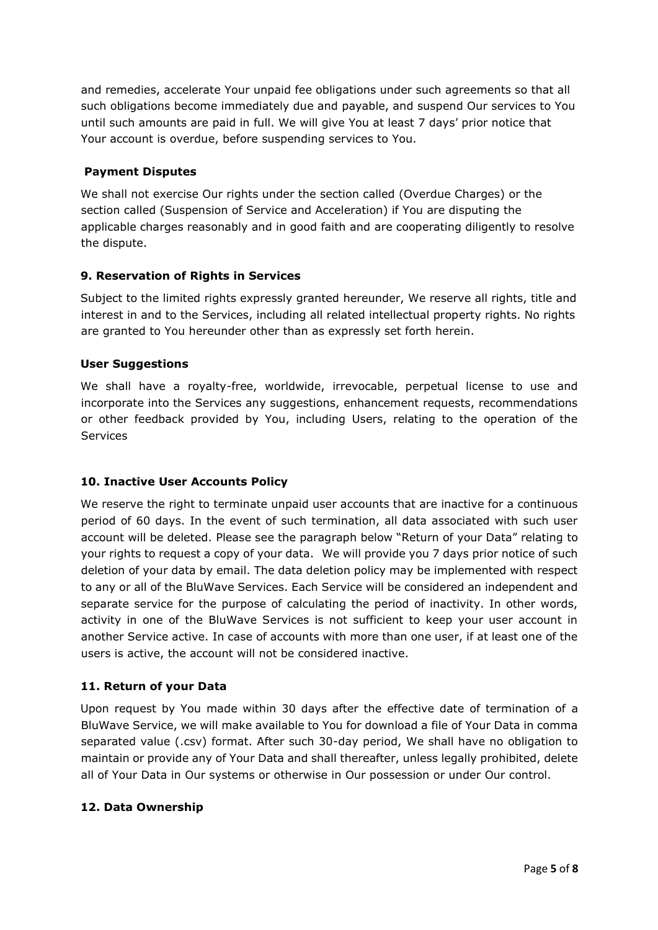and remedies, accelerate Your unpaid fee obligations under such agreements so that all such obligations become immediately due and payable, and suspend Our services to You until such amounts are paid in full. We will give You at least 7 days' prior notice that Your account is overdue, before suspending services to You.

#### **Payment Disputes**

We shall not exercise Our rights under the section called (Overdue Charges) or the section called (Suspension of Service and Acceleration) if You are disputing the applicable charges reasonably and in good faith and are cooperating diligently to resolve the dispute.

#### **9. Reservation of Rights in Services**

Subject to the limited rights expressly granted hereunder, We reserve all rights, title and interest in and to the Services, including all related intellectual property rights. No rights are granted to You hereunder other than as expressly set forth herein.

#### **User Suggestions**

We shall have a royalty-free, worldwide, irrevocable, perpetual license to use and incorporate into the Services any suggestions, enhancement requests, recommendations or other feedback provided by You, including Users, relating to the operation of the Services

#### **10. Inactive User Accounts Policy**

We reserve the right to terminate unpaid user accounts that are inactive for a continuous period of 60 days. In the event of such termination, all data associated with such user account will be deleted. Please see the paragraph below "Return of your Data" relating to your rights to request a copy of your data. We will provide you 7 days prior notice of such deletion of your data by email. The data deletion policy may be implemented with respect to any or all of the BluWave Services. Each Service will be considered an independent and separate service for the purpose of calculating the period of inactivity. In other words, activity in one of the BluWave Services is not sufficient to keep your user account in another Service active. In case of accounts with more than one user, if at least one of the users is active, the account will not be considered inactive.

#### **11. Return of your Data**

Upon request by You made within 30 days after the effective date of termination of a BluWave Service, we will make available to You for download a file of Your Data in comma separated value (.csv) format. After such 30-day period, We shall have no obligation to maintain or provide any of Your Data and shall thereafter, unless legally prohibited, delete all of Your Data in Our systems or otherwise in Our possession or under Our control.

#### **12. Data Ownership**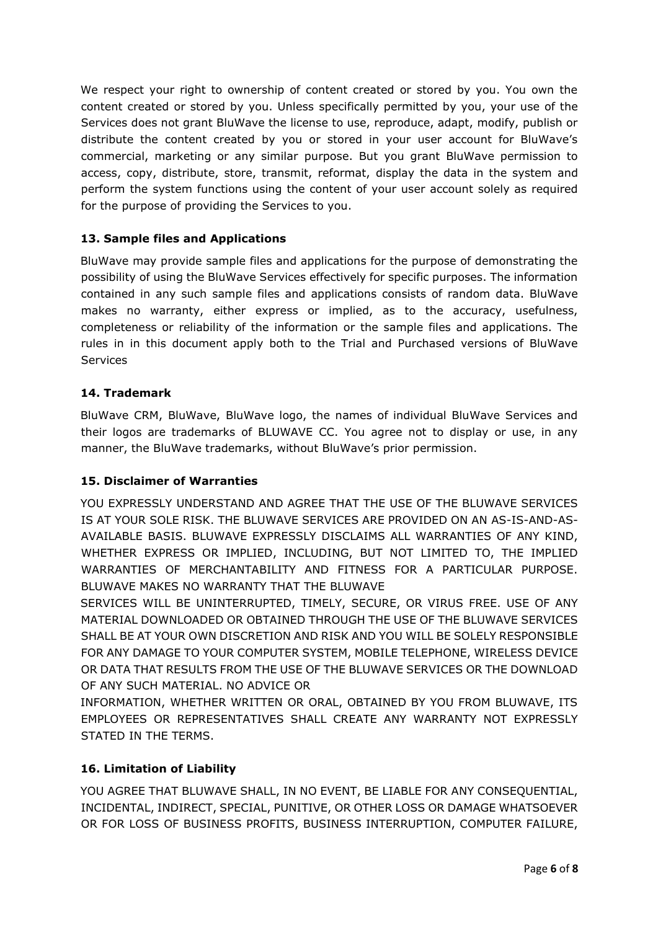We respect your right to ownership of content created or stored by you. You own the content created or stored by you. Unless specifically permitted by you, your use of the Services does not grant BluWave the license to use, reproduce, adapt, modify, publish or distribute the content created by you or stored in your user account for BluWave's commercial, marketing or any similar purpose. But you grant BluWave permission to access, copy, distribute, store, transmit, reformat, display the data in the system and perform the system functions using the content of your user account solely as required for the purpose of providing the Services to you.

## **13. Sample files and Applications**

BluWave may provide sample files and applications for the purpose of demonstrating the possibility of using the BluWave Services effectively for specific purposes. The information contained in any such sample files and applications consists of random data. BluWave makes no warranty, either express or implied, as to the accuracy, usefulness, completeness or reliability of the information or the sample files and applications. The rules in in this document apply both to the Trial and Purchased versions of BluWave **Services** 

## **14. Trademark**

BluWave CRM, BluWave, BluWave logo, the names of individual BluWave Services and their logos are trademarks of BLUWAVE CC. You agree not to display or use, in any manner, the BluWave trademarks, without BluWave's prior permission.

#### **15. Disclaimer of Warranties**

YOU EXPRESSLY UNDERSTAND AND AGREE THAT THE USE OF THE BLUWAVE SERVICES IS AT YOUR SOLE RISK. THE BLUWAVE SERVICES ARE PROVIDED ON AN AS-IS-AND-AS-AVAILABLE BASIS. BLUWAVE EXPRESSLY DISCLAIMS ALL WARRANTIES OF ANY KIND, WHETHER EXPRESS OR IMPLIED, INCLUDING, BUT NOT LIMITED TO, THE IMPLIED WARRANTIES OF MERCHANTABILITY AND FITNESS FOR A PARTICULAR PURPOSE. BLUWAVE MAKES NO WARRANTY THAT THE BLUWAVE

SERVICES WILL BE UNINTERRUPTED, TIMELY, SECURE, OR VIRUS FREE. USE OF ANY MATERIAL DOWNLOADED OR OBTAINED THROUGH THE USE OF THE BLUWAVE SERVICES SHALL BE AT YOUR OWN DISCRETION AND RISK AND YOU WILL BE SOLELY RESPONSIBLE FOR ANY DAMAGE TO YOUR COMPUTER SYSTEM, MOBILE TELEPHONE, WIRELESS DEVICE OR DATA THAT RESULTS FROM THE USE OF THE BLUWAVE SERVICES OR THE DOWNLOAD OF ANY SUCH MATERIAL. NO ADVICE OR

INFORMATION, WHETHER WRITTEN OR ORAL, OBTAINED BY YOU FROM BLUWAVE, ITS EMPLOYEES OR REPRESENTATIVES SHALL CREATE ANY WARRANTY NOT EXPRESSLY STATED IN THE TERMS.

# **16. Limitation of Liability**

YOU AGREE THAT BLUWAVE SHALL, IN NO EVENT, BE LIABLE FOR ANY CONSEQUENTIAL, INCIDENTAL, INDIRECT, SPECIAL, PUNITIVE, OR OTHER LOSS OR DAMAGE WHATSOEVER OR FOR LOSS OF BUSINESS PROFITS, BUSINESS INTERRUPTION, COMPUTER FAILURE,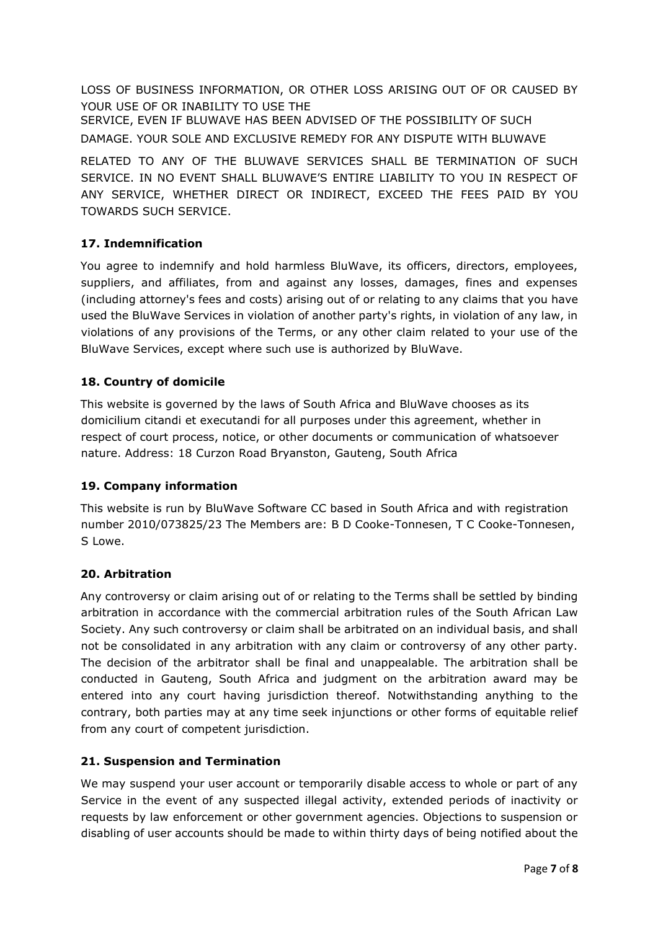LOSS OF BUSINESS INFORMATION, OR OTHER LOSS ARISING OUT OF OR CAUSED BY YOUR USE OF OR INABILITY TO USE THE

SERVICE, EVEN IF BLUWAVE HAS BEEN ADVISED OF THE POSSIBILITY OF SUCH DAMAGE. YOUR SOLE AND EXCLUSIVE REMEDY FOR ANY DISPUTE WITH BLUWAVE

RELATED TO ANY OF THE BLUWAVE SERVICES SHALL BE TERMINATION OF SUCH SERVICE. IN NO EVENT SHALL BLUWAVE'S ENTIRE LIABILITY TO YOU IN RESPECT OF ANY SERVICE, WHETHER DIRECT OR INDIRECT, EXCEED THE FEES PAID BY YOU TOWARDS SUCH SERVICE.

# **17. Indemnification**

You agree to indemnify and hold harmless BluWave, its officers, directors, employees, suppliers, and affiliates, from and against any losses, damages, fines and expenses (including attorney's fees and costs) arising out of or relating to any claims that you have used the BluWave Services in violation of another party's rights, in violation of any law, in violations of any provisions of the Terms, or any other claim related to your use of the BluWave Services, except where such use is authorized by BluWave.

# **18. Country of domicile**

This website is governed by the laws of South Africa and BluWave chooses as its domicilium citandi et executandi for all purposes under this agreement, whether in respect of court process, notice, or other documents or communication of whatsoever nature. Address: 18 Curzon Road Bryanston, Gauteng, South Africa

# **19. Company information**

This website is run by BluWave Software CC based in South Africa and with registration number 2010/073825/23 The Members are: B D Cooke-Tonnesen, T C Cooke-Tonnesen, S Lowe.

# **20. Arbitration**

Any controversy or claim arising out of or relating to the Terms shall be settled by binding arbitration in accordance with the commercial arbitration rules of the South African Law Society. Any such controversy or claim shall be arbitrated on an individual basis, and shall not be consolidated in any arbitration with any claim or controversy of any other party. The decision of the arbitrator shall be final and unappealable. The arbitration shall be conducted in Gauteng, South Africa and judgment on the arbitration award may be entered into any court having jurisdiction thereof. Notwithstanding anything to the contrary, both parties may at any time seek injunctions or other forms of equitable relief from any court of competent jurisdiction.

# **21. Suspension and Termination**

We may suspend your user account or temporarily disable access to whole or part of any Service in the event of any suspected illegal activity, extended periods of inactivity or requests by law enforcement or other government agencies. Objections to suspension or disabling of user accounts should be made to within thirty days of being notified about the